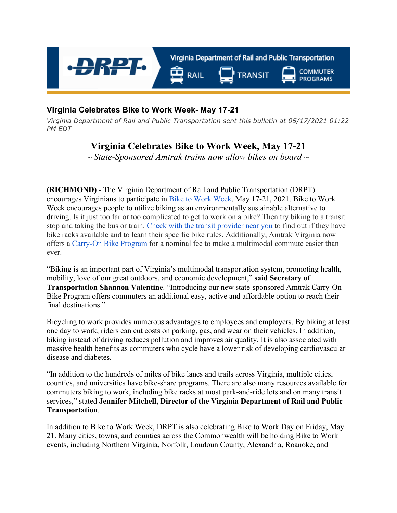

## **Virginia Celebrates Bike to Work Week- May 17-21**

*Virginia Department of Rail and Public Transportation sent this bulletin at 05/17/2021 01:22 PM EDT*

## **Virginia Celebrates Bike to Work Week, May 17-21**

*~ State-Sponsored Amtrak trains now allow bikes on board ~*

**(RICHMOND) -** The Virginia Department of Rail and Public Transportation (DRPT) encourages Virginians to participate in [Bike to Work Week](http://bikeva.org/), May 17‐21, 2021. Bike to Work Week encourages people to utilize biking as an environmentally sustainable alternative to driving. Is it just too far or too complicated to get to work on a bike? Then try biking to a transit stop and taking the bus or train. [Check with the transit provider near you](http://www.drpt.virginia.gov/service-locator/) to find out if they have bike racks available and to learn their specific bike rules. Additionally, Amtrak Virginia now offers a [Carry-On Bike Program](https://www.amtrak.com/bring-your-bicycle-onboard) for a nominal fee to make a multimodal commute easier than ever.

"Biking is an important part of Virginia's multimodal transportation system, promoting health, mobility, love of our great outdoors, and economic development," **said Secretary of Transportation Shannon Valentine**. "Introducing our new state-sponsored Amtrak Carry-On Bike Program offers commuters an additional easy, active and affordable option to reach their final destinations."

Bicycling to work provides numerous advantages to employees and employers. By biking at least one day to work, riders can cut costs on parking, gas, and wear on their vehicles. In addition, biking instead of driving reduces pollution and improves air quality. It is also associated with massive health benefits as commuters who cycle have a lower risk of developing cardiovascular disease and diabetes.

"In addition to the hundreds of miles of bike lanes and trails across Virginia, multiple cities, counties, and universities have bike-share programs. There are also many resources available for commuters biking to work, including bike racks at most park-and-ride lots and on many transit services," stated **Jennifer Mitchell, Director of the Virginia Department of Rail and Public Transportation**.

In addition to Bike to Work Week, DRPT is also celebrating Bike to Work Day on Friday, May 21. Many cities, towns, and counties across the Commonwealth will be holding Bike to Work events, including Northern Virginia, Norfolk, Loudoun County, Alexandria, Roanoke, and